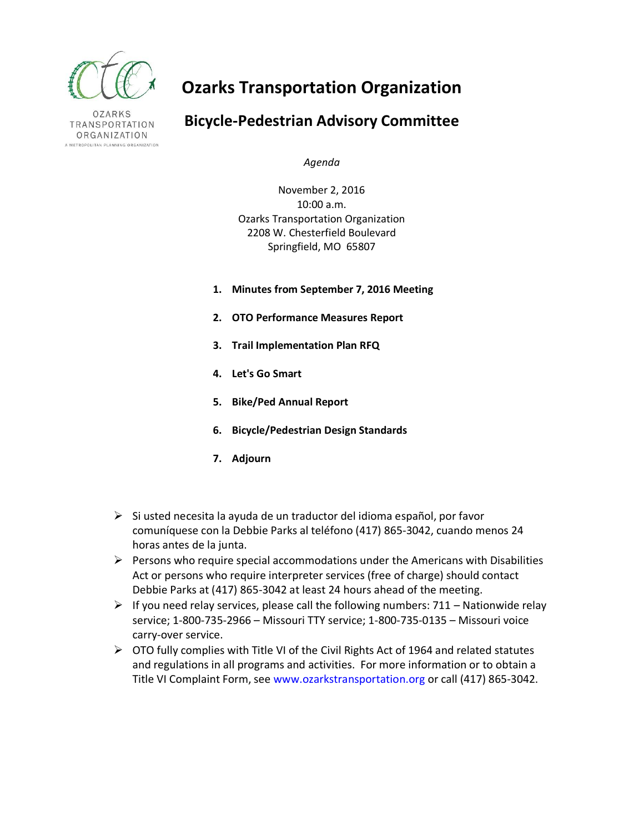

**OZARKS** TRANSPORTATION ORGANIZATION A METROPOLITAN PLANNING ORGANIZATION

# **Ozarks Transportation Organization**

# **Bicycle-Pedestrian Advisory Committee**

*Agenda*

November 2, 2016 10:00 a.m. Ozarks Transportation Organization 2208 W. Chesterfield Boulevard Springfield, MO 65807

- **1. Minutes from September 7, 2016 Meeting**
- **2. OTO Performance Measures Report**
- **3. Trail Implementation Plan RFQ**
- **4. Let's Go Smart**
- **5. Bike/Ped Annual Report**
- **6. Bicycle/Pedestrian Design Standards**
- **7. Adjourn**
- $\triangleright$  Si usted necesita la ayuda de un traductor del idioma español, por favor comuníquese con la Debbie Parks al teléfono (417) 865-3042, cuando menos 24 horas antes de la junta.
- $\triangleright$  Persons who require special accommodations under the Americans with Disabilities Act or persons who require interpreter services (free of charge) should contact Debbie Parks at (417) 865-3042 at least 24 hours ahead of the meeting.
- $\triangleright$  If you need relay services, please call the following numbers: 711 Nationwide relay service; 1-800-735-2966 – Missouri TTY service; 1-800-735-0135 – Missouri voice carry-over service.
- $\triangleright$  OTO fully complies with Title VI of the Civil Rights Act of 1964 and related statutes and regulations in all programs and activities. For more information or to obtain a Title VI Complaint Form, see www.ozarkstransportation.org or call (417) 865-3042.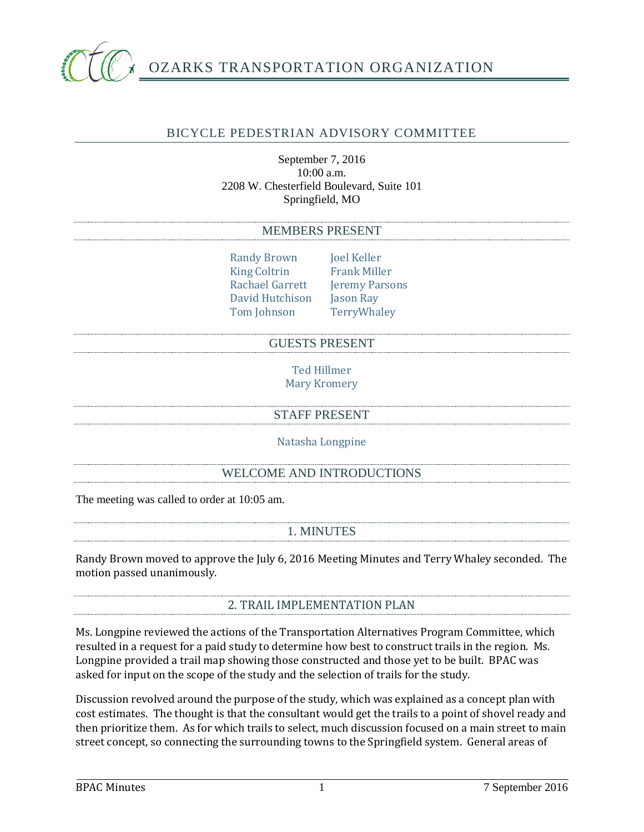

# BICYCLE PEDESTRIAN ADVISORY COMMITTEE

September 7, 2016 10:00 a.m. 2208 W. Chesterfield Boulevard, Suite 101 Springfield, MO

#### MEMBERS PRESENT

Randy Brown Joel Keller<br>King Coltrin Frank Miller King Coltrin<br>Rachael Garrett Jeremy Parsons<br>Jason Ray David Hutchison Jason Ray<br>Tom Johnson Terry Whaley Tom Johnson

#### GUESTS PRESENT

Ted Hillmer Mary Kromery

# STAFF PRESENT

Natasha Longpine

#### WELCOME AND INTRODUCTIONS

The meeting was called to order at 10:05 am.

# 1. MINUTES

Randy Brown moved to approve the July 6, 2016 Meeting Minutes and Terry Whaley seconded. The motion passed unanimously.

#### 2. TRAIL IMPLEMENTATION PLAN

Ms. Longpine reviewed the actions of the Transportation Alternatives Program Committee, which resulted in a request for a paid study to determine how best to construct trails in the region. Ms. Longpine provided a trail map showing those constructed and those yet to be built. BPAC was asked for input on the scope of the study and the selection of trails for the study.

Discussion revolved around the purpose of the study, which was explained as a concept plan with cost estimates. The thought is that the consultant would get the trails to a point of shovel ready and then prioritize them. As for which trails to select, much discussion focused on a main street to main street concept, so connecting the surrounding towns to the Springfield system. General areas of